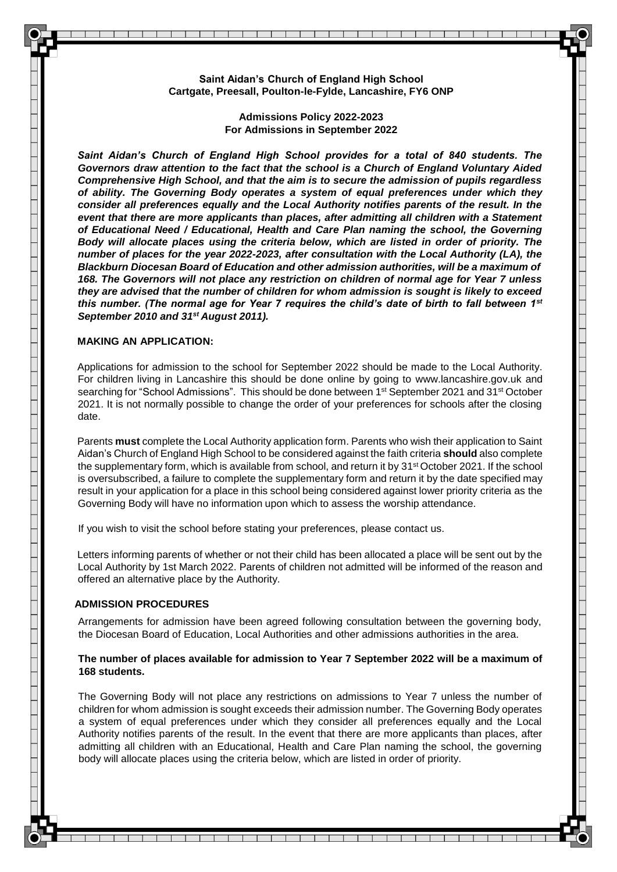**Saint Aidan's Church of England High School Cartgate, Preesall, Poulton-le-Fylde, Lancashire, FY6 ONP**

> **Admissions Policy 2022-2023 For Admissions in September 2022**

*Saint Aidan's Church of England High School provides for a total of 840 students. The Governors draw attention to the fact that the school is a Church of England Voluntary Aided Comprehensive High School, and that the aim is to secure the admission of pupils regardless of ability. The Governing Body operates a system of equal preferences under which they consider all preferences equally and the Local Authority notifies parents of the result. In the event that there are more applicants than places, after admitting all children with a Statement of Educational Need / Educational, Health and Care Plan naming the school, the Governing Body will allocate places using the criteria below, which are listed in order of priority. The number of places for the year 2022-2023, after consultation with the Local Authority (LA), the Blackburn Diocesan Board of Education and other admission authorities, will be a maximum of 168. The Governors will not place any restriction on children of normal age for Year 7 unless they are advised that the number of children for whom admission is sought is likely to exceed this number. (The normal age for Year 7 requires the child's date of birth to fall between 1st September 2010 and 31st August 2011).*

#### **MAKING AN APPLICATION:**

Applications for admission to the school for September 2022 should be made to the Local Authority. For children living in Lancashire this should be done online by going to [www.lancashire.gov.uk a](http://www.lancashire.gov.uk/)nd searching for "School Admissions". This should be done between 1<sup>st</sup> September 2021 and 31<sup>st</sup> October 2021. It is not normally possible to change the order of your preferences for schools after the closing date.

Parents **must** complete the Local Authority application form. Parents who wish their application to Saint Aidan's Church of England High School to be considered against the faith criteria **should** also complete the supplementary form, which is available from school, and return it by 31<sup>st</sup> October 2021. If the school is oversubscribed, a failure to complete the supplementary form and return it by the date specified may result in your application for a place in this school being considered against lower priority criteria as the Governing Body will have no information upon which to assess the worship attendance.

If you wish to visit the school before stating your preferences, please contact us.

Letters informing parents of whether or not their child has been allocated a place will be sent out by the Local Authority by 1st March 2022. Parents of children not admitted will be informed of the reason and offered an alternative place by the Authority.

#### **ADMISSION PROCEDURES**

Arrangements for admission have been agreed following consultation between the governing body, the Diocesan Board of Education, Local Authorities and other admissions authorities in the area.

## **The number of places available for admission to Year 7 September 2022 will be a maximum of 168 students.**

The Governing Body will not place any restrictions on admissions to Year 7 unless the number of children for whom admission is sought exceeds their admission number. The Governing Body operates a system of equal preferences under which they consider all preferences equally and the Local Authority notifies parents of the result. In the event that there are more applicants than places, after admitting all children with an Educational, Health and Care Plan naming the school, the governing body will allocate places using the criteria below, which are listed in order of priority.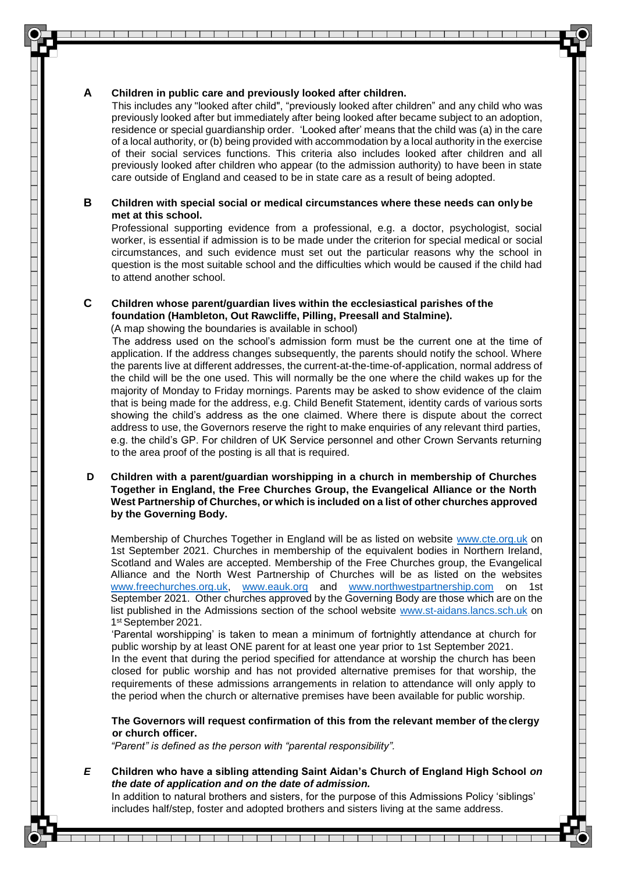## **A Children in public care and previously looked after children.**

This includes any "looked after child", "previously looked after children" and any child who was previously looked after but immediately after being looked after became subject to an adoption, residence or special guardianship order. 'Looked after' means that the child was (a) in the care of a local authority, or (b) being provided with accommodation by a local authority in the exercise of their social services functions. This criteria also includes looked after children and all previously looked after children who appear (to the admission authority) to have been in state care outside of England and ceased to be in state care as a result of being adopted.

## **B Children with special social or medical circumstances where these needs can onlybe met at this school.**

Professional supporting evidence from a professional, e.g. a doctor, psychologist, social worker, is essential if admission is to be made under the criterion for special medical or social circumstances, and such evidence must set out the particular reasons why the school in question is the most suitable school and the difficulties which would be caused if the child had to attend another school.

## **C Children whose parent/guardian lives within the ecclesiastical parishes of the foundation (Hambleton, Out Rawcliffe, Pilling, Preesall and Stalmine).**

(A map showing the boundaries is available in school)

The address used on the school's admission form must be the current one at the time of application. If the address changes subsequently, the parents should notify the school. Where the parents live at different addresses, the current-at-the-time-of-application, normal address of the child will be the one used. This will normally be the one where the child wakes up for the majority of Monday to Friday mornings. Parents may be asked to show evidence of the claim that is being made for the address, e.g. Child Benefit Statement, identity cards of various sorts showing the child's address as the one claimed. Where there is dispute about the correct address to use, the Governors reserve the right to make enquiries of any relevant third parties, e.g. the child's GP. For children of UK Service personnel and other Crown Servants returning to the area proof of the posting is all that is required.

## **D Children with a parent/guardian worshipping in a church in membership of Churches Together in England, the Free Churches Group, the Evangelical Alliance or the North West Partnership of Churches, or which is included on a list of other churches approved by the Governing Body.**

Membership of Churches Together in England will be as listed on website [www.cte.org.uk](http://www.cte.org.uk/) on 1st September 2021. Churches in membership of the equivalent bodies in Northern Ireland, Scotland and Wales are accepted. Membership of the Free Churches group, the Evangelical Alliance and the North West Partnership of Churches will be as listed on the websites [www.freechurches.org.uk,](http://www.freechurches.org.uk/) [www.eauk.org](http://www.eauk.org/) and [www.northwestpartnership.com](http://www.northwestpartnership.com/) on 1st September 2021. Other churches approved by the Governing Body are those which are on the list published in the Admissions section of the school website [www.st-aidans.lancs.sch.uk](http://www.st-aidans.lancs.sch.uk/) on 1 st September 2021.

'Parental worshipping' is taken to mean a minimum of fortnightly attendance at church for public worship by at least ONE parent for at least one year prior to 1st September 2021.

In the event that during the period specified for attendance at worship the church has been closed for public worship and has not provided alternative premises for that worship, the requirements of these admissions arrangements in relation to attendance will only apply to the period when the church or alternative premises have been available for public worship.

**The Governors will request confirmation of this from the relevant member of the clergy or church officer.**

*"Parent" is defined as the person with "parental responsibility".*

*E* **Children who have a sibling attending Saint Aidan's Church of England High School** *on the date of application and on the date of admission.*

In addition to natural brothers and sisters, for the purpose of this Admissions Policy 'siblings' includes half/step, foster and adopted brothers and sisters living at the same address.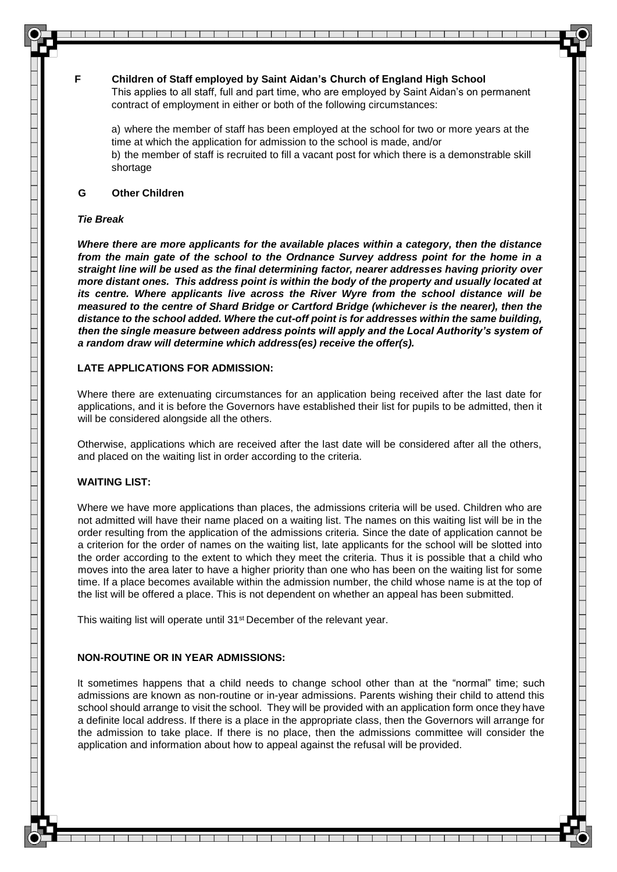**F Children of Staff employed by Saint Aidan's Church of England High School** This applies to all staff, full and part time, who are employed by Saint Aidan's on permanent contract of employment in either or both of the following circumstances:

a) where the member of staff has been employed at the school for two or more years at the time at which the application for admission to the school is made, and/or b) the member of staff is recruited to fill a vacant post for which there is a demonstrable skill shortage

## **G Other Children**

#### *Tie Break*

*Where there are more applicants for the available places within a category, then the distance from the main gate of the school to the Ordnance Survey address point for the home in a straight line will be used as the final determining factor, nearer addresses having priority over more distant ones. This address point is within the body of the property and usually located at its centre. Where applicants live across the River Wyre from the school distance will be measured to the centre of Shard Bridge or Cartford Bridge (whichever is the nearer), then the distance to the school added. Where the cut-off point is for addresses within the same building, then the single measure between address points will apply and the Local Authority's system of a random draw will determine which address(es) receive the offer(s).*

# **LATE APPLICATIONS FOR ADMISSION:**

Where there are extenuating circumstances for an application being received after the last date for applications, and it is before the Governors have established their list for pupils to be admitted, then it will be considered alongside all the others.

Otherwise, applications which are received after the last date will be considered after all the others, and placed on the waiting list in order according to the criteria.

# **WAITING LIST:**

Where we have more applications than places, the admissions criteria will be used. Children who are not admitted will have their name placed on a waiting list. The names on this waiting list will be in the order resulting from the application of the admissions criteria. Since the date of application cannot be a criterion for the order of names on the waiting list, late applicants for the school will be slotted into the order according to the extent to which they meet the criteria. Thus it is possible that a child who moves into the area later to have a higher priority than one who has been on the waiting list for some time. If a place becomes available within the admission number, the child whose name is at the top of the list will be offered a place. This is not dependent on whether an appeal has been submitted.

This waiting list will operate until 31<sup>st</sup> December of the relevant year.

# **NON-ROUTINE OR IN YEAR ADMISSIONS:**

It sometimes happens that a child needs to change school other than at the "normal" time; such admissions are known as non-routine or in-year admissions. Parents wishing their child to attend this school should arrange to visit the school. They will be provided with an application form once they have a definite local address. If there is a place in the appropriate class, then the Governors will arrange for the admission to take place. If there is no place, then the admissions committee will consider the application and information about how to appeal against the refusal will be provided.

> $\overline{\phantom{a}}$ ┰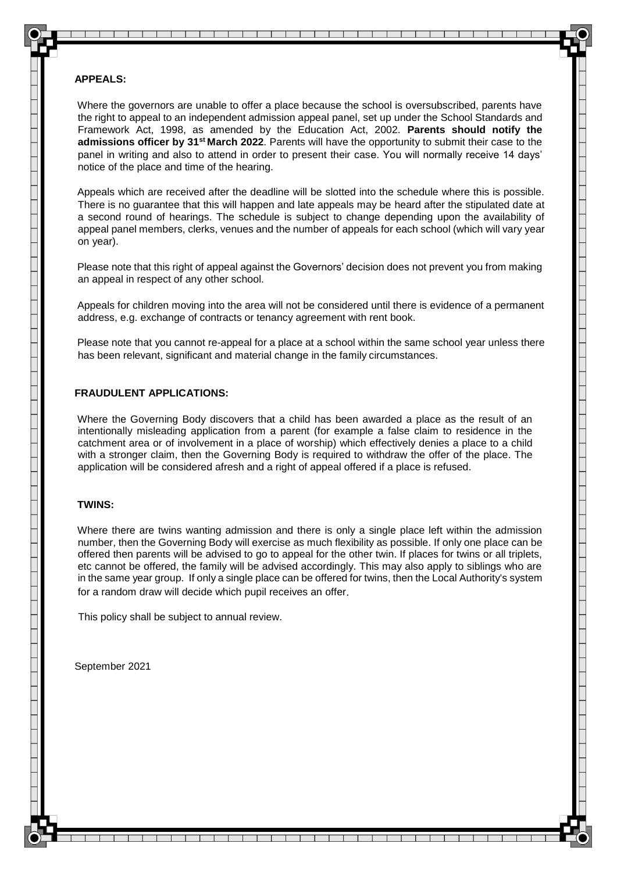## **APPEALS:**

Where the governors are unable to offer a place because the school is oversubscribed, parents have the right to appeal to an independent admission appeal panel, set up under the School Standards and Framework Act, 1998, as amended by the Education Act, 2002. **Parents should notify the admissions officer by 31st March 2022**. Parents will have the opportunity to submit their case to the panel in writing and also to attend in order to present their case. You will normally receive 14 days' notice of the place and time of the hearing.

Appeals which are received after the deadline will be slotted into the schedule where this is possible. There is no guarantee that this will happen and late appeals may be heard after the stipulated date at a second round of hearings. The schedule is subject to change depending upon the availability of appeal panel members, clerks, venues and the number of appeals for each school (which will vary year on year).

Please note that this right of appeal against the Governors' decision does not prevent you from making an appeal in respect of any other school.

Appeals for children moving into the area will not be considered until there is evidence of a permanent address, e.g. exchange of contracts or tenancy agreement with rent book.

Please note that you cannot re-appeal for a place at a school within the same school year unless there has been relevant, significant and material change in the family circumstances.

# **FRAUDULENT APPLICATIONS:**

Where the Governing Body discovers that a child has been awarded a place as the result of an intentionally misleading application from a parent (for example a false claim to residence in the catchment area or of involvement in a place of worship) which effectively denies a place to a child with a stronger claim, then the Governing Body is required to withdraw the offer of the place. The application will be considered afresh and a right of appeal offered if a place is refused.

## **TWINS:**

Where there are twins wanting admission and there is only a single place left within the admission number, then the Governing Body will exercise as much flexibility as possible. If only one place can be offered then parents will be advised to go to appeal for the other twin. If places for twins or all triplets, etc cannot be offered, the family will be advised accordingly. This may also apply to siblings who are in the same year group. If only a single place can be offered for twins, then the Local Authority's system for a random draw will decide which pupil receives an offer.

This policy shall be subject to annual review.

September 2021